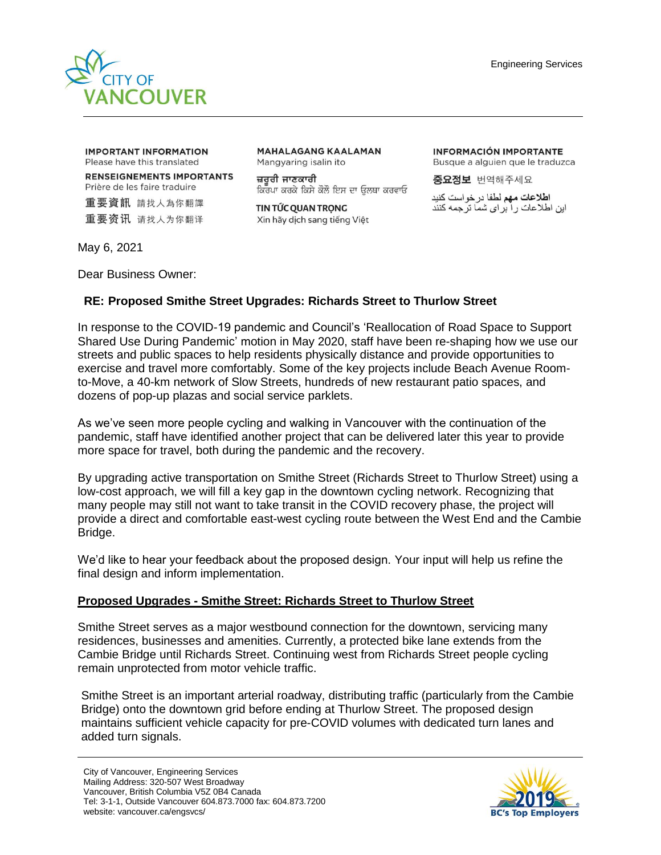

**IMPORTANT INFORMATION** Please have this translated

**RENSEIGNEMENTS IMPORTANTS** Prière de les faire traduire

重要資訊 請找人為你翻譯 重要资讯 请找人为你翻译 **MAHALAGANG KAALAMAN** Mangyaring isalin ito

ਜ਼ਰਰੀ ਜਾਣਕਾਰੀ ਕਿਰਪਾ ਕਰਕੇ ਕਿਸੇ ਕੋਲੋ ਇਸ ਦਾ ਉਲਥਾ ਕਰਵਾਓ

TIN TỨC QUAN TRỌNG Xin hãy dịch sang tiếng Việt **INFORMACIÓN IMPORTANTE** Busque a alguien que le traduzca

중요정보 번역해주세요

ا**طلاعات مهم** لطفا در خو است کنید این اطلاعات را برای شما ترجمه کنند

May 6, 2021

Dear Business Owner:

## **RE: Proposed Smithe Street Upgrades: Richards Street to Thurlow Street**

In response to the COVID-19 pandemic and Council's 'Reallocation of Road Space to Support Shared Use During Pandemic' motion in May 2020, staff have been re-shaping how we use our streets and public spaces to help residents physically distance and provide opportunities to exercise and travel more comfortably. Some of the key projects include Beach Avenue Roomto-Move, a 40-km network of Slow Streets, hundreds of new restaurant patio spaces, and dozens of pop-up plazas and social service parklets.

As we've seen more people cycling and walking in Vancouver with the continuation of the pandemic, staff have identified another project that can be delivered later this year to provide more space for travel, both during the pandemic and the recovery.

By upgrading active transportation on Smithe Street (Richards Street to Thurlow Street) using a low-cost approach, we will fill a key gap in the downtown cycling network. Recognizing that many people may still not want to take transit in the COVID recovery phase, the project will provide a direct and comfortable east-west cycling route between the West End and the Cambie Bridge.

We'd like to hear your feedback about the proposed design. Your input will help us refine the final design and inform implementation.

### **Proposed Upgrades - Smithe Street: Richards Street to Thurlow Street**

Smithe Street serves as a major westbound connection for the downtown, servicing many residences, businesses and amenities. Currently, a protected bike lane extends from the Cambie Bridge until Richards Street. Continuing west from Richards Street people cycling remain unprotected from motor vehicle traffic.

Smithe Street is an important arterial roadway, distributing traffic (particularly from the Cambie Bridge) onto the downtown grid before ending at Thurlow Street. The proposed design maintains sufficient vehicle capacity for pre-COVID volumes with dedicated turn lanes and added turn signals.

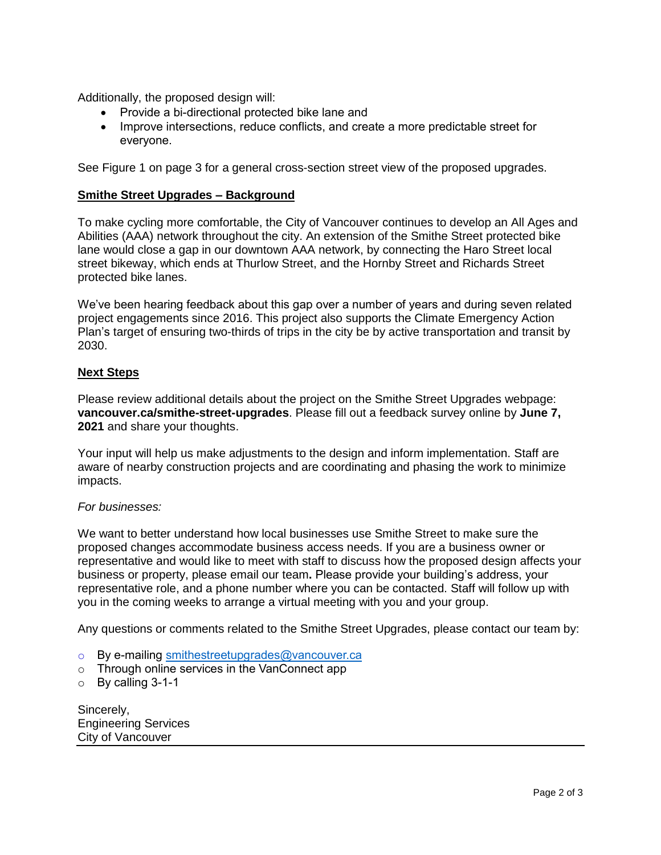Additionally, the proposed design will:

- Provide a bi-directional protected bike lane and
- Improve intersections, reduce conflicts, and create a more predictable street for everyone.

See Figure 1 on page 3 for a general cross-section street view of the proposed upgrades.

#### **Smithe Street Upgrades – Background**

To make cycling more comfortable, the City of Vancouver continues to develop an All Ages and Abilities (AAA) network throughout the city. An extension of the Smithe Street protected bike lane would close a gap in our downtown AAA network, by connecting the Haro Street local street bikeway, which ends at Thurlow Street, and the Hornby Street and Richards Street protected bike lanes.

We've been hearing feedback about this gap over a number of years and during seven related project engagements since 2016. This project also supports the Climate Emergency Action Plan's target of ensuring two-thirds of trips in the city be by active transportation and transit by 2030.

#### **Next Steps**

Please review additional details about the project on the Smithe Street Upgrades webpage: **vancouver.ca/smithe-street-upgrades**. Please fill out a feedback survey online by **June 7, 2021** and share your thoughts.

Your input will help us make adjustments to the design and inform implementation. Staff are aware of nearby construction projects and are coordinating and phasing the work to minimize impacts.

#### *For businesses:*

We want to better understand how local businesses use Smithe Street to make sure the proposed changes accommodate business access needs. If you are a business owner or representative and would like to meet with staff to discuss how the proposed design affects your business or property, please email our team**.** Please provide your building's address, your representative role, and a phone number where you can be contacted. Staff will follow up with you in the coming weeks to arrange a virtual meeting with you and your group.

Any questions or comments related to the Smithe Street Upgrades, please contact our team by:

- o By e-mailing [smithestreetupgrades@vancouver.ca](mailto:smithestreetupgrades@vancouver.ca)
- o Through online services in the VanConnect app
- o By calling 3-1-1

Sincerely, Engineering Services City of Vancouver